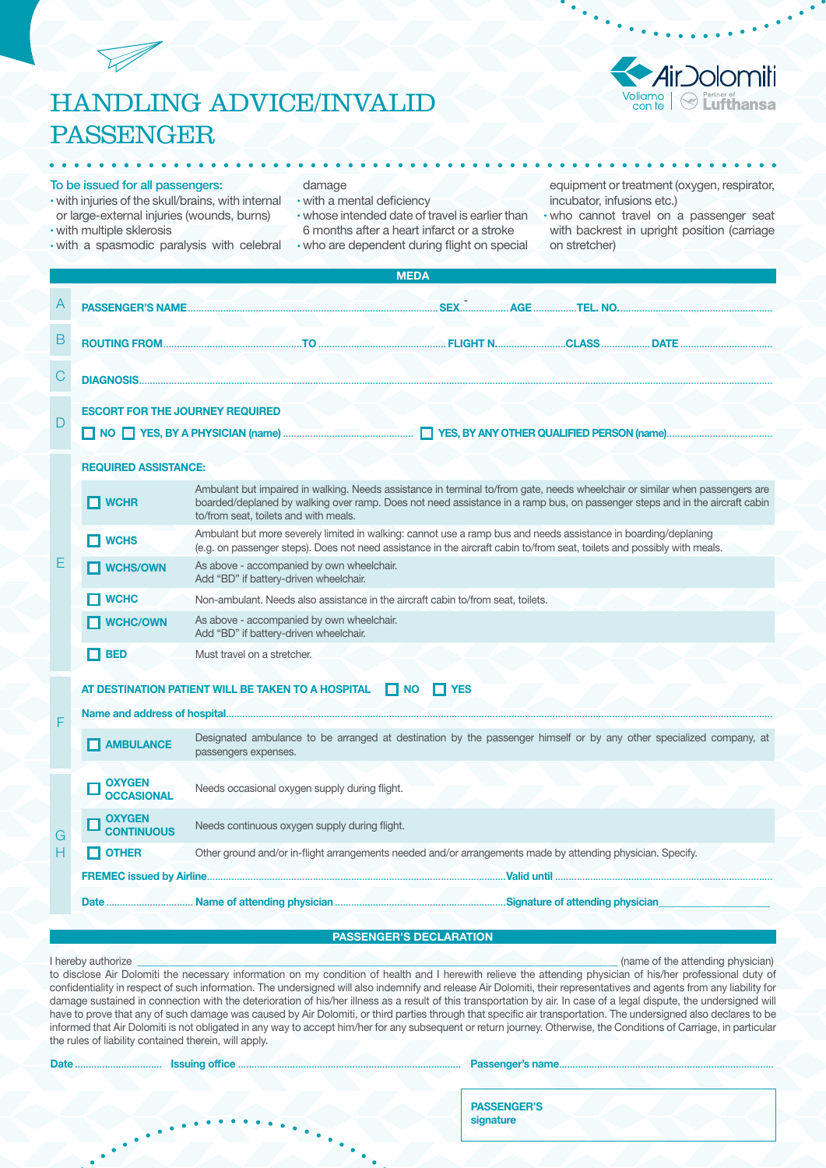## HANDLING ADVICE/INVALID PASSENGER

# Michael & Partner of Discretion of the Lufthansa

#### To be issued for all passengers:

#### damage

- with a mental deficiency
- whose intended date of travel is earlier than 6 months after a heart infarct or a stroke
- who are dependent during flight on special

equipment or treatment (oxygen, respirator, incubator, infusions etc.)

- with injuries of the skull/brains, with internal or large-external injuries (wounds, burns) • with multiple sklerosis
- with a spasmodic paralysis with celebral

• who cannot travel on a passenger seat with backrest in upright position (carriage on stretcher)

|   | <b>MEDA</b>                            |                                                                                                                                                                                                                                                                                                      |  |  |  |  |  |  |  |
|---|----------------------------------------|------------------------------------------------------------------------------------------------------------------------------------------------------------------------------------------------------------------------------------------------------------------------------------------------------|--|--|--|--|--|--|--|
|   |                                        |                                                                                                                                                                                                                                                                                                      |  |  |  |  |  |  |  |
| B |                                        |                                                                                                                                                                                                                                                                                                      |  |  |  |  |  |  |  |
| С |                                        |                                                                                                                                                                                                                                                                                                      |  |  |  |  |  |  |  |
| D | <b>ESCORT FOR THE JOURNEY REQUIRED</b> |                                                                                                                                                                                                                                                                                                      |  |  |  |  |  |  |  |
|   | <b>REQUIRED ASSISTANCE:</b>            |                                                                                                                                                                                                                                                                                                      |  |  |  |  |  |  |  |
|   | $\Box$ WCHR                            | Ambulant but impaired in walking. Needs assistance in terminal to/from gate, needs wheelchair or similar when passengers are<br>boarded/deplaned by walking over ramp. Does not need assistance in a ramp bus, on passenger steps and in the aircraft cabin<br>to/from seat, toilets and with meals. |  |  |  |  |  |  |  |
|   | $\Box$ WCHS                            | Ambulant but more severely limited in walking: cannot use a ramp bus and needs assistance in boarding/deplaning<br>(e.g. on passenger steps). Does not need assistance in the aircraft cabin to/from seat, toilets and possibly with meals.                                                          |  |  |  |  |  |  |  |
| Е | $\Box$ WCHS/OWN                        | As above - accompanied by own wheelchair.<br>Add "BD" if battery-driven wheelchair.                                                                                                                                                                                                                  |  |  |  |  |  |  |  |
|   | $\Box$ WCHC                            | Non-ambulant. Needs also assistance in the aircraft cabin to/from seat, toilets.                                                                                                                                                                                                                     |  |  |  |  |  |  |  |
|   | $\blacksquare$ WCHC/OWN                | As above - accompanied by own wheelchair.<br>Add "BD" if battery-driven wheelchair.                                                                                                                                                                                                                  |  |  |  |  |  |  |  |
|   | $\Box$ BED                             | Must travel on a stretcher.                                                                                                                                                                                                                                                                          |  |  |  |  |  |  |  |
|   |                                        | AT DESTINATION PATIENT WILL BE TAKEN TO A HOSPITAL NO SAME YES                                                                                                                                                                                                                                       |  |  |  |  |  |  |  |
| F |                                        |                                                                                                                                                                                                                                                                                                      |  |  |  |  |  |  |  |
|   | <b>NUMBULANCE</b>                      | Designated ambulance to be arranged at destination by the passenger himself or by any other specialized company, at<br>passengers expenses.                                                                                                                                                          |  |  |  |  |  |  |  |
|   | <b>OXYGEN</b><br><b>OCCASIONAL</b>     | Needs occasional oxygen supply during flight.                                                                                                                                                                                                                                                        |  |  |  |  |  |  |  |
| G | <b>OXYGEN</b><br><b>CONTINUOUS</b>     | Needs continuous oxygen supply during flight.                                                                                                                                                                                                                                                        |  |  |  |  |  |  |  |
| н | $\Box$ OTHER                           | Other ground and/or in-flight arrangements needed and/or arrangements made by attending physician. Specify.                                                                                                                                                                                          |  |  |  |  |  |  |  |
|   |                                        |                                                                                                                                                                                                                                                                                                      |  |  |  |  |  |  |  |
|   |                                        |                                                                                                                                                                                                                                                                                                      |  |  |  |  |  |  |  |

#### PASSENGER'S DECLARATION

I hereby authorize \_\_\_\_\_\_\_\_\_\_\_\_\_\_\_\_\_\_\_\_\_\_\_\_\_\_\_\_\_\_\_\_\_\_\_\_\_\_\_\_\_\_\_\_\_\_\_\_\_\_\_\_\_\_\_\_\_\_\_\_\_\_\_\_\_\_\_\_\_\_\_\_\_\_\_\_\_\_\_\_\_\_\_\_\_\_\_\_\_\_\_\_\_ (name of the attending physician) to disclose Air Dolomiti the necessary information on my condition of health and I herewith relieve the attending physician of his/her professional duty of confidentiality in respect of such information. The undersigned will also indemnify and release Air Dolomiti, their representatives and agents from any liability for damage sustained in connection with the deterioration of his/her illness as a result of this transportation by air. In case of a legal dispute, the undersigned will have to prove that any of such damage was caused by Air Dolomiti, or third parties through that specific air transportation. The undersigned also declares to be informed that Air Dolomiti is not obligated in any way to accept him/her for any subsequent or return journey. Otherwise, the Conditions of Carriage, in particular the rules of liability contained therein, will apply.

|  | <b>Issuing office</b> |  |
|--|-----------------------|--|
|  |                       |  |

#### Passenger's name.

PASSENGER'S signature